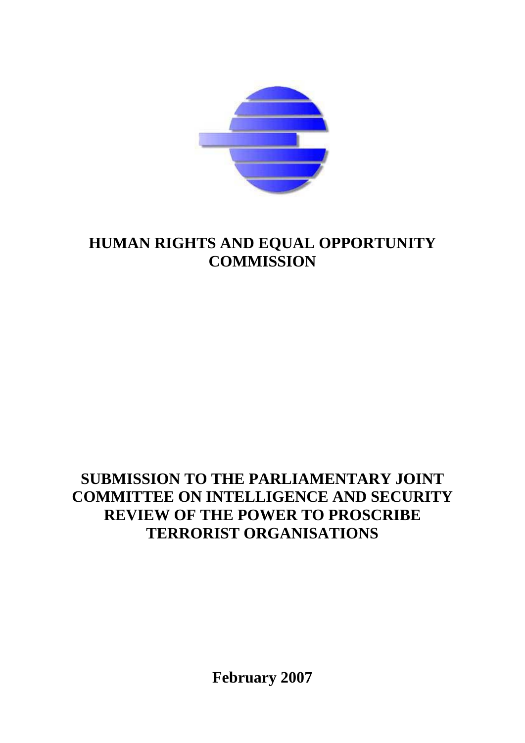

# **HUMAN RIGHTS AND EQUAL OPPORTUNITY COMMISSION**

# **SUBMISSION TO THE PARLIAMENTARY JOINT COMMITTEE ON INTELLIGENCE AND SECURITY REVIEW OF THE POWER TO PROSCRIBE TERRORIST ORGANISATIONS**

**February 2007**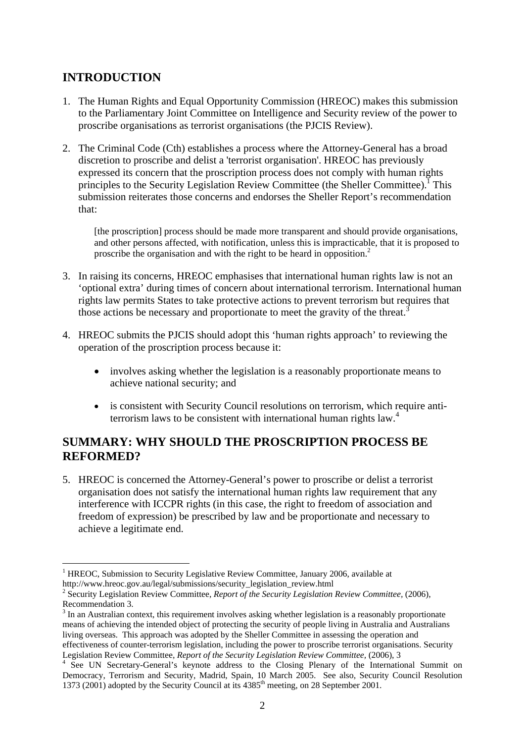# **INTRODUCTION**

- 1. The Human Rights and Equal Opportunity Commission (HREOC) makes this submission to the Parliamentary Joint Committee on Intelligence and Security review of the power to proscribe organisations as terrorist organisations (the PJCIS Review).
- 2. The Criminal Code (Cth) establishes a process where the Attorney-General has a broad discretion to proscribe and delist a 'terrorist organisation'. HREOC has previously expressed its concern that the proscription process does not comply with human rights principles to the Security Legislation Review Committee (the Sheller Committee).<sup>1</sup> This submission reiterates those concerns and endorses the Sheller Report's recommendation that:

[the proscription] process should be made more transparent and should provide organisations, and other persons affected, with notification, unless this is impracticable, that it is proposed to proscribe the organisation and with the right to be heard in opposition.<sup>2</sup>

- 3. In raising its concerns, HREOC emphasises that international human rights law is not an 'optional extra' during times of concern about international terrorism. International human rights law permits States to take protective actions to prevent terrorism but requires that those actions be necessary and proportionate to meet the gravity of the threat.<sup>3</sup>
- 4. HREOC submits the PJCIS should adopt this 'human rights approach' to reviewing the operation of the proscription process because it:
	- involves asking whether the legislation is a reasonably proportionate means to achieve national security; and
	- is consistent with Security Council resolutions on terrorism, which require antiterrorism laws to be consistent with international human rights law.<sup>4</sup>

# **SUMMARY: WHY SHOULD THE PROSCRIPTION PROCESS BE REFORMED?**

5. HREOC is concerned the Attorney-General's power to proscribe or delist a terrorist organisation does not satisfy the international human rights law requirement that any interference with ICCPR rights (in this case, the right to freedom of association and freedom of expression) be prescribed by law and be proportionate and necessary to achieve a legitimate end.

<sup>1</sup> <sup>1</sup> HREOC, Submission to Security Legislative Review Committee, January 2006, available at http://www.hreoc.gov.au/legal/submissions/security\_legislation\_review.html 2

<sup>&</sup>lt;sup>2</sup> Security Legislation Review Committee, *Report of the Security Legislation Review Committee*, (2006), Recommendation 3.

 $3$  In an Australian context, this requirement involves asking whether legislation is a reasonably proportionate means of achieving the intended object of protecting the security of people living in Australia and Australians living overseas. This approach was adopted by the Sheller Committee in assessing the operation and effectiveness of counter-terrorism legislation, including the power to proscribe terrorist organisations. Security Legislation Review Committee, *Report of the Security Legislation Review Committee*, (2006), 3

<sup>&</sup>lt;sup>4</sup> See UN Secretary-General's keynote address to the Closing Plenary of the International Summit on Democracy, Terrorism and Security, Madrid, Spain, 10 March 2005. See also, Security Council Resolution 1373 (2001) adopted by the Security Council at its 4385<sup>th</sup> meeting, on 28 September 2001.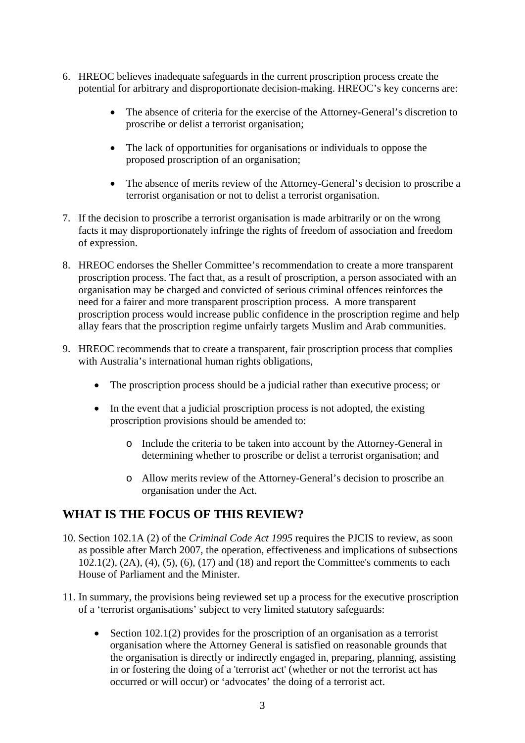- 6. HREOC believes inadequate safeguards in the current proscription process create the potential for arbitrary and disproportionate decision-making. HREOC's key concerns are:
	- The absence of criteria for the exercise of the Attorney-General's discretion to proscribe or delist a terrorist organisation;
	- The lack of opportunities for organisations or individuals to oppose the proposed proscription of an organisation;
	- The absence of merits review of the Attorney-General's decision to proscribe a terrorist organisation or not to delist a terrorist organisation.
- 7. If the decision to proscribe a terrorist organisation is made arbitrarily or on the wrong facts it may disproportionately infringe the rights of freedom of association and freedom of expression.
- 8. HREOC endorses the Sheller Committee's recommendation to create a more transparent proscription process. The fact that, as a result of proscription, a person associated with an organisation may be charged and convicted of serious criminal offences reinforces the need for a fairer and more transparent proscription process. A more transparent proscription process would increase public confidence in the proscription regime and help allay fears that the proscription regime unfairly targets Muslim and Arab communities.
- 9. HREOC recommends that to create a transparent, fair proscription process that complies with Australia's international human rights obligations,
	- The proscription process should be a judicial rather than executive process; or
	- In the event that a judicial proscription process is not adopted, the existing proscription provisions should be amended to:
		- o Include the criteria to be taken into account by the Attorney-General in determining whether to proscribe or delist a terrorist organisation; and
		- o Allow merits review of the Attorney-General's decision to proscribe an organisation under the Act.

## **WHAT IS THE FOCUS OF THIS REVIEW?**

- 10. Section 102.1A (2) of the *Criminal Code Act 1995* requires the PJCIS to review, as soon as possible after March 2007, the operation, effectiveness and implications of subsections 102.1(2), (2A), (4), (5), (6), (17) and (18) and report the Committee's comments to each House of Parliament and the Minister.
- 11. In summary, the provisions being reviewed set up a process for the executive proscription of a 'terrorist organisations' subject to very limited statutory safeguards:
	- Section 102.1(2) provides for the proscription of an organisation as a terrorist organisation where the Attorney General is satisfied on reasonable grounds that the organisation is directly or indirectly engaged in, preparing, planning, assisting in or fostering the doing of a 'terrorist act' (whether or not the terrorist act has occurred or will occur) or 'advocates' the doing of a terrorist act.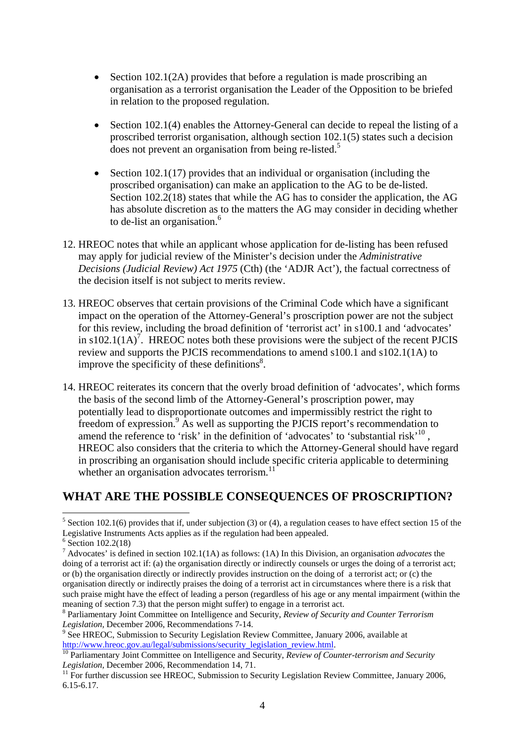- Section 102.1(2A) provides that before a regulation is made proscribing an organisation as a terrorist organisation the Leader of the Opposition to be briefed in relation to the proposed regulation.
- Section 102.1(4) enables the Attorney-General can decide to repeal the listing of a proscribed terrorist organisation, although section 102.1(5) states such a decision does not prevent an organisation from being re-listed.<sup>5</sup>
- Section 102.1(17) provides that an individual or organisation (including the proscribed organisation) can make an application to the AG to be de-listed. Section 102.2(18) states that while the AG has to consider the application, the AG has absolute discretion as to the matters the AG may consider in deciding whether to de-list an organisation.<sup>6</sup>
- 12. HREOC notes that while an applicant whose application for de-listing has been refused may apply for judicial review of the Minister's decision under the *Administrative Decisions (Judicial Review) Act 1975* (Cth) (the 'ADJR Act'), the factual correctness of the decision itself is not subject to merits review.
- 13. HREOC observes that certain provisions of the Criminal Code which have a significant impact on the operation of the Attorney-General's proscription power are not the subject for this review, including the broad definition of 'terrorist act' in s100.1 and 'advocates' in s102.1(1A)<sup>7</sup>. HREOC notes both these provisions were the subject of the recent PJCIS review and supports the PJCIS recommendations to amend s100.1 and s102.1(1A) to improve the specificity of these definitions $8$ .
- 14. HREOC reiterates its concern that the overly broad definition of 'advocates', which forms the basis of the second limb of the Attorney-General's proscription power, may potentially lead to disproportionate outcomes and impermissibly restrict the right to freedom of expression.<sup>9</sup> As well as supporting the PJCIS report's recommendation to amend the reference to 'risk' in the definition of 'advocates' to 'substantial risk'<sup>10</sup>, HREOC also considers that the criteria to which the Attorney-General should have regard in proscribing an organisation should include specific criteria applicable to determining whether an organisation advocates terrorism. $^{11}$

## **WHAT ARE THE POSSIBLE CONSEQUENCES OF PROSCRIPTION?**

1

<sup>&</sup>lt;sup>5</sup> Section 102.1(6) provides that if, under subjection (3) or (4), a regulation ceases to have effect section 15 of the Legislative Instruments Acts applies as if the regulation had been appealed.

<sup>&</sup>lt;sup>6</sup> Section 102.2(18)

<sup>7</sup> Advocates' is defined in section 102.1(1A) as follows: (1A) In this Division, an organisation *advocates* the doing of a terrorist act if: (a) the organisation directly or indirectly counsels or urges the doing of a terrorist act; or (b) the organisation directly or indirectly provides instruction on the doing of a terrorist act; or (c) the organisation directly or indirectly praises the doing of a terrorist act in circumstances where there is a risk that such praise might have the effect of leading a person (regardless of his age or any mental impairment (within the meaning of section 7.3) that the person might suffer) to engage in a terrorist act.

<sup>8</sup> Parliamentary Joint Committee on Intelligence and Security, *Review of Security and Counter Terrorism Legislation, December 2006, Recommendations 7-14.* 

<sup>&</sup>lt;sup>9</sup> See HREOC, Submission to Security Legislation Review Committee, January 2006, available at http://www.hreoc.gov.au/legal/submissions/security\_legislation\_review.html.<br><sup>10</sup> Parliamentary Joint Committee on Intelligence and Security, *Review of Counter-terrorism and Security* 

*Legislation*, December 2006, Recommendation 14, 71.<br><sup>11</sup> For further discussion see HREOC, Submission to Security Legislation Review Committee, January 2006,

<sup>6.15-6.17.</sup>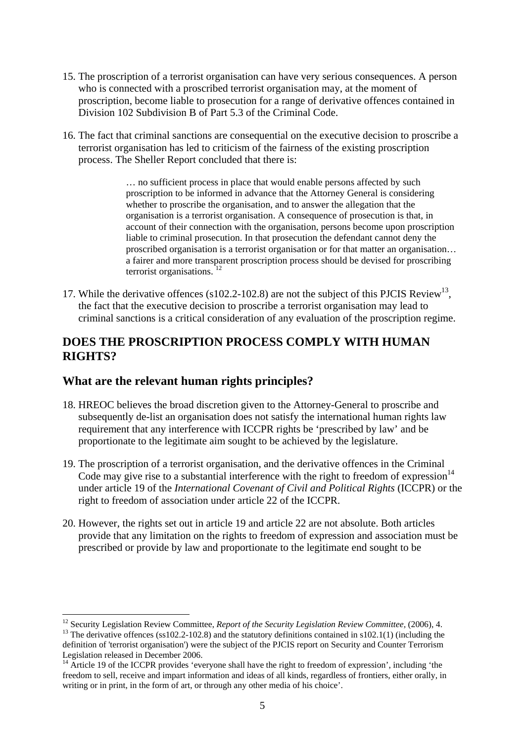- 15. The proscription of a terrorist organisation can have very serious consequences. A person who is connected with a proscribed terrorist organisation may, at the moment of proscription, become liable to prosecution for a range of derivative offences contained in Division 102 Subdivision B of Part 5.3 of the Criminal Code.
- 16. The fact that criminal sanctions are consequential on the executive decision to proscribe a terrorist organisation has led to criticism of the fairness of the existing proscription process. The Sheller Report concluded that there is:

… no sufficient process in place that would enable persons affected by such proscription to be informed in advance that the Attorney General is considering whether to proscribe the organisation, and to answer the allegation that the organisation is a terrorist organisation. A consequence of prosecution is that, in account of their connection with the organisation, persons become upon proscription liable to criminal prosecution. In that prosecution the defendant cannot deny the proscribed organisation is a terrorist organisation or for that matter an organisation… a fairer and more transparent proscription process should be devised for proscribing terrorist organisations. $12$ 

17. While the derivative offences (s102.2-102.8) are not the subject of this PJCIS Review<sup>13</sup>, the fact that the executive decision to proscribe a terrorist organisation may lead to criminal sanctions is a critical consideration of any evaluation of the proscription regime.

## **DOES THE PROSCRIPTION PROCESS COMPLY WITH HUMAN RIGHTS?**

## **What are the relevant human rights principles?**

<u>.</u>

- 18. HREOC believes the broad discretion given to the Attorney-General to proscribe and subsequently de-list an organisation does not satisfy the international human rights law requirement that any interference with ICCPR rights be 'prescribed by law' and be proportionate to the legitimate aim sought to be achieved by the legislature.
- 19. The proscription of a terrorist organisation, and the derivative offences in the Criminal Code may give rise to a substantial interference with the right to freedom of  $expression<sup>14</sup>$ under article 19 of the *International Covenant of Civil and Political Rights* (ICCPR) or the right to freedom of association under article 22 of the ICCPR.
- 20. However, the rights set out in article 19 and article 22 are not absolute. Both articles provide that any limitation on the rights to freedom of expression and association must be prescribed or provide by law and proportionate to the legitimate end sought to be

<sup>&</sup>lt;sup>12</sup> Security Legislation Review Committee, *Report of the Security Legislation Review Committee*, (2006), 4. <sup>13</sup> The derivative offences (ss102.2-102.8) and the statutory definitions contained in s102.1(1) (including the

definition of 'terrorist organisation') were the subject of the PJCIS report on Security and Counter Terrorism Legislation released in December 2006.

<sup>&</sup>lt;sup>14</sup> Article 19 of the ICCPR provides 'everyone shall have the right to freedom of expression', including 'the freedom to sell, receive and impart information and ideas of all kinds, regardless of frontiers, either orally, in writing or in print, in the form of art, or through any other media of his choice'.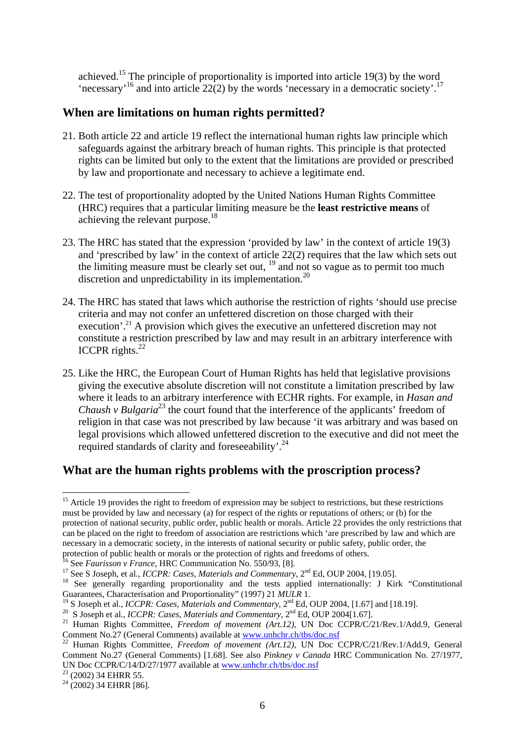achieved.15 The principle of proportionality is imported into article 19(3) by the word 'necessary'<sup>16</sup> and into article 22(2) by the words 'necessary in a democratic society'.<sup>17</sup>

#### **When are limitations on human rights permitted?**

- 21. Both article 22 and article 19 reflect the international human rights law principle which safeguards against the arbitrary breach of human rights. This principle is that protected rights can be limited but only to the extent that the limitations are provided or prescribed by law and proportionate and necessary to achieve a legitimate end.
- 22. The test of proportionality adopted by the United Nations Human Rights Committee (HRC) requires that a particular limiting measure be the **least restrictive means** of achieving the relevant purpose.18
- 23. The HRC has stated that the expression 'provided by law' in the context of article 19(3) and 'prescribed by law' in the context of article 22(2) requires that the law which sets out the limiting measure must be clearly set out,  $19$  and not so vague as to permit too much discretion and unpredictability in its implementation.<sup>20</sup>
- 24. The HRC has stated that laws which authorise the restriction of rights 'should use precise criteria and may not confer an unfettered discretion on those charged with their execution'.<sup>21</sup> A provision which gives the executive an unfettered discretion may not constitute a restriction prescribed by law and may result in an arbitrary interference with ICCPR rights. $^{22}$
- 25. Like the HRC, the European Court of Human Rights has held that legislative provisions giving the executive absolute discretion will not constitute a limitation prescribed by law where it leads to an arbitrary interference with ECHR rights. For example, in *Hasan and Chaush v Bulgaria*<sup>23</sup> the court found that the interference of the applicants' freedom of religion in that case was not prescribed by law because 'it was arbitrary and was based on legal provisions which allowed unfettered discretion to the executive and did not meet the required standards of clarity and foreseeability'.<sup>24</sup>

#### **What are the human rights problems with the proscription process?**

Comment No.27 (General Comments) [1.68]. See also *Pinkney v Canada* HRC Communication No. 27/1977, UN Doc CCPR/C/14/D/27/1977 available at www.unhchr.ch/tbs/doc.nsf<sup>23</sup> (2002) 34 EHRR 55.

<u>.</u>

 $15$  Article 19 provides the right to freedom of expression may be subject to restrictions, but these restrictions must be provided by law and necessary (a) for respect of the rights or reputations of others; or (b) for the protection of national security, public order, public health or morals. Article 22 provides the only restrictions that can be placed on the right to freedom of association are restrictions which 'are prescribed by law and which are necessary in a democratic society, in the interests of national security or public safety, public order, the protection of public health or morals or the protection of rights and freedoms of others.<br><sup>16</sup> See *Faurisson v France*, HRC Communication No. 550/93, [8].

<sup>&</sup>lt;sup>17</sup> See S Joseph, et al., *ICCPR: Cases, Materials and Commentary*,  $2^{nd}$  Ed, OUP 2004, [19.05].<br><sup>18</sup> See generally regarding proportionality and the tests applied internationally: J Kirk "Constitutional" Guarantees, Characterisation and Proportionality" (1997) 21 *MULR* 1.

<sup>&</sup>lt;sup>19</sup> S Joseph et al., *ICCPR: Cases, Materials and Commentary*,  $2<sup>nd</sup> Ed$ , OUP 2004, [1.67] and [18.19].<br><sup>20</sup> S Joseph et al., *ICCPR: Cases, Materials and Commentary*,  $2<sup>nd</sup> Ed$ , OUP 2004[1.67].<br><sup>21</sup> Human Rights Com

Comment No.27 (General Comments) available at www.unhchr.ch/tbs/doc.nsf 22 Human Rights Committee, *Freedom of movement (Art.12)*, UN Doc CCPR/C/21/Rev.1/Add.9, General

 $24(2002)$  34 EHRR [86].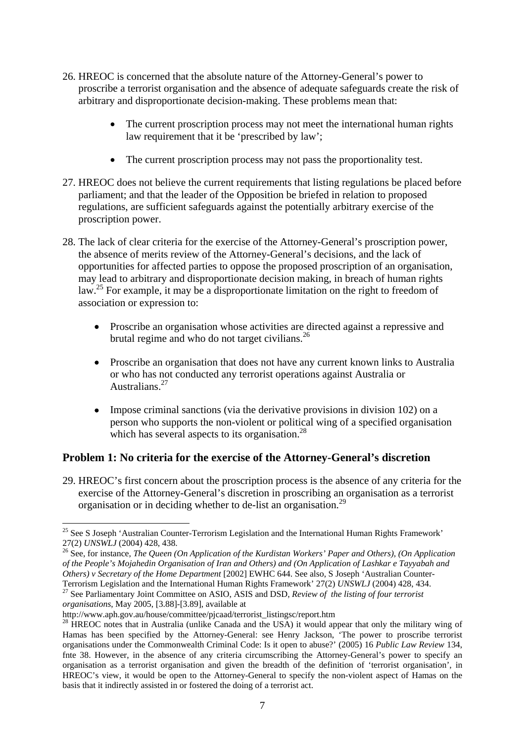- 26. HREOC is concerned that the absolute nature of the Attorney-General's power to proscribe a terrorist organisation and the absence of adequate safeguards create the risk of arbitrary and disproportionate decision-making. These problems mean that:
	- The current proscription process may not meet the international human rights law requirement that it be 'prescribed by law':
	- The current proscription process may not pass the proportionality test.
- 27. HREOC does not believe the current requirements that listing regulations be placed before parliament; and that the leader of the Opposition be briefed in relation to proposed regulations, are sufficient safeguards against the potentially arbitrary exercise of the proscription power.
- 28. The lack of clear criteria for the exercise of the Attorney-General's proscription power, the absence of merits review of the Attorney-General's decisions, and the lack of opportunities for affected parties to oppose the proposed proscription of an organisation, may lead to arbitrary and disproportionate decision making, in breach of human rights law.<sup>25</sup> For example, it may be a disproportionate limitation on the right to freedom of association or expression to:
	- Proscribe an organisation whose activities are directed against a repressive and brutal regime and who do not target civilians.<sup>26</sup>
	- Proscribe an organisation that does not have any current known links to Australia or who has not conducted any terrorist operations against Australia or Australians<sup>27</sup>
	- Impose criminal sanctions (via the derivative provisions in division 102) on a person who supports the non-violent or political wing of a specified organisation which has several aspects to its organisation.<sup>28</sup>

## **Problem 1: No criteria for the exercise of the Attorney-General's discretion**

29. HREOC's first concern about the proscription process is the absence of any criteria for the exercise of the Attorney-General's discretion in proscribing an organisation as a terrorist organisation or in deciding whether to de-list an organisation.29

<sup>&</sup>lt;u>.</u> <sup>25</sup> See S Joseph 'Australian Counter-Terrorism Legislation and the International Human Rights Framework'

<sup>27(2)</sup> *UNSWLJ* (2004) 428, 438.<br><sup>26</sup> See, for instance, *The Queen (On Application of the Kurdistan Workers' Paper and Others), (On Application of the People's Mojahedin Organisation of Iran and Others) and (On Application of Lashkar e Tayyabah and Others) v Secretary of the Home Department* [2002] EWHC 644. See also, S Joseph 'Australian Counter-<br>Terrorism Legislation and the International Human Rights Framework' 27(2) *UNSWLJ* (2004) 428, 434.

<sup>&</sup>lt;sup>27</sup> See Parliamentary Joint Committee on ASIO, ASIS and DSD, *Review of the listing of four terrorist organisations*, May 2005, [3.88]-[3.89], available at

<sup>&</sup>lt;sup>28</sup> HREOC notes that in Australia (unlike Canada and the USA) it would appear that only the military wing of Hamas has been specified by the Attorney-General: see Henry Jackson, 'The power to proscribe terrorist organisations under the Commonwealth Criminal Code: Is it open to abuse?' (2005) 16 *Public Law Review* 134, fnte 38. However, in the absence of any criteria circumscribing the Attorney-General's power to specify an organisation as a terrorist organisation and given the breadth of the definition of 'terrorist organisation', in HREOC's view, it would be open to the Attorney-General to specify the non-violent aspect of Hamas on the basis that it indirectly assisted in or fostered the doing of a terrorist act.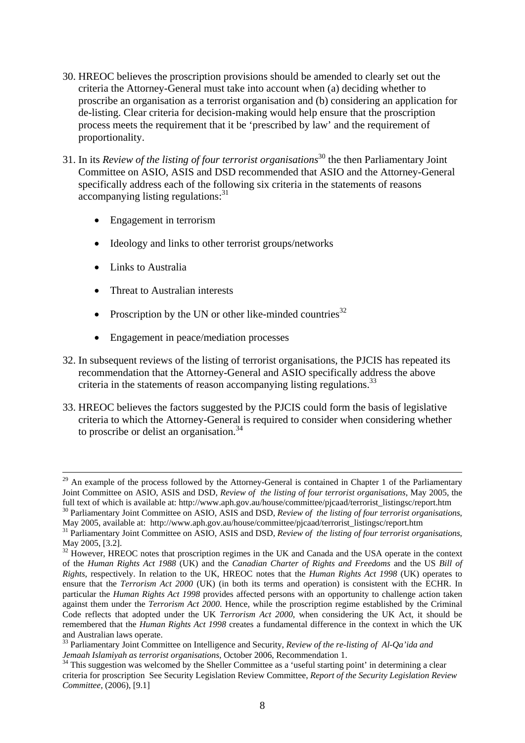- 30. HREOC believes the proscription provisions should be amended to clearly set out the criteria the Attorney-General must take into account when (a) deciding whether to proscribe an organisation as a terrorist organisation and (b) considering an application for de-listing. Clear criteria for decision-making would help ensure that the proscription process meets the requirement that it be 'prescribed by law' and the requirement of proportionality.
- 31. In its *Review of the listing of four terrorist organisations*30 the then Parliamentary Joint Committee on ASIO, ASIS and DSD recommended that ASIO and the Attorney-General specifically address each of the following six criteria in the statements of reasons accompanying listing regulations:<sup>31</sup>
	- Engagement in terrorism
	- Ideology and links to other terrorist groups/networks
	- Links to Australia
	- Threat to Australian interests
	- Proscription by the UN or other like-minded countries<sup>32</sup>
	- Engagement in peace/mediation processes
- 32. In subsequent reviews of the listing of terrorist organisations, the PJCIS has repeated its recommendation that the Attorney-General and ASIO specifically address the above criteria in the statements of reason accompanying listing regulations.<sup>33</sup>
- 33. HREOC believes the factors suggested by the PJCIS could form the basis of legislative criteria to which the Attorney-General is required to consider when considering whether to proscribe or delist an organisation. $34$

<sup>&</sup>lt;sup>29</sup> An example of the process followed by the Attorney-General is contained in Chapter 1 of the Parliamentary Joint Committee on ASIO, ASIS and DSD, *Review of the listing of four terrorist organisations*, May 2005, the full text of which is available at: http://www.aph.gov.au/house/committee/pjcaad/terrorist\_listingsc/report.htm<br><sup>30</sup> Parliamentary Joint Committee on ASIO, ASIS and DSD, Review of the listing of four terrorist organisation

May 2005, available at: http://www.aph.gov.au/house/committee/pjcaad/terrorist\_listingsc/report.htm 31 Parliamentary Joint Committee on ASIO, ASIS and DSD, *Review of the listing of four terrorist organisations*,

May 2005, [3.2].

<sup>&</sup>lt;sup>32</sup> However, HREOC notes that proscription regimes in the UK and Canada and the USA operate in the context of the *Human Rights Act 1988* (UK) and the *Canadian Charter of Rights and Freedoms* and the US *Bill of Rights*, respectively. In relation to the UK, HREOC notes that the *Human Rights Act 1998* (UK) operates to ensure that the *Terrorism Act 2000* (UK) (in both its terms and operation) is consistent with the ECHR. In particular the *Human Rights Act 1998* provides affected persons with an opportunity to challenge action taken against them under the *Terrorism Act 2000*. Hence, while the proscription regime established by the Criminal Code reflects that adopted under the UK *Terrorism Act 2000*, when considering the UK Act, it should be remembered that the *Human Rights Act 1998* creates a fundamental difference in the context in which the UK and Australian laws operate.

<sup>&</sup>lt;sup>33</sup> Parliamentary Joint Committee on Intelligence and Security, *Review of the re-listing of Al-Qa'ida and Jemaah Islamiyah as terrorist organisations*, October 2006, Recommendation 1.

<sup>&</sup>lt;sup>34</sup> This suggestion was welcomed by the Sheller Committee as a 'useful starting point' in determining a clear criteria for proscription See Security Legislation Review Committee, *Report of the Security Legislation Review Committee,* (2006), [9.1]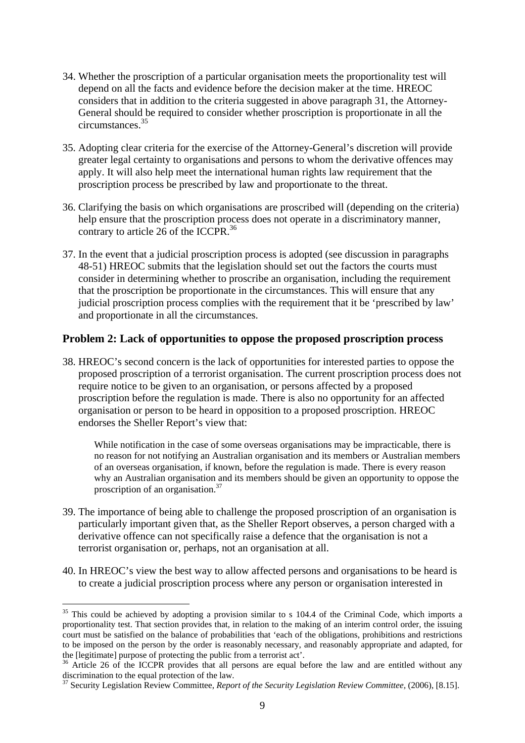- 34. Whether the proscription of a particular organisation meets the proportionality test will depend on all the facts and evidence before the decision maker at the time. HREOC considers that in addition to the criteria suggested in above paragraph 31, the Attorney-General should be required to consider whether proscription is proportionate in all the circumstances.35
- 35. Adopting clear criteria for the exercise of the Attorney-General's discretion will provide greater legal certainty to organisations and persons to whom the derivative offences may apply. It will also help meet the international human rights law requirement that the proscription process be prescribed by law and proportionate to the threat.
- 36. Clarifying the basis on which organisations are proscribed will (depending on the criteria) help ensure that the proscription process does not operate in a discriminatory manner, contrary to article 26 of the ICCPR.<sup>36</sup>
- 37. In the event that a judicial proscription process is adopted (see discussion in paragraphs 48-51) HREOC submits that the legislation should set out the factors the courts must consider in determining whether to proscribe an organisation, including the requirement that the proscription be proportionate in the circumstances. This will ensure that any judicial proscription process complies with the requirement that it be 'prescribed by law' and proportionate in all the circumstances.

#### **Problem 2: Lack of opportunities to oppose the proposed proscription process**

38. HREOC's second concern is the lack of opportunities for interested parties to oppose the proposed proscription of a terrorist organisation. The current proscription process does not require notice to be given to an organisation, or persons affected by a proposed proscription before the regulation is made. There is also no opportunity for an affected organisation or person to be heard in opposition to a proposed proscription. HREOC endorses the Sheller Report's view that:

While notification in the case of some overseas organisations may be impracticable, there is no reason for not notifying an Australian organisation and its members or Australian members of an overseas organisation, if known, before the regulation is made. There is every reason why an Australian organisation and its members should be given an opportunity to oppose the proscription of an organisation.37

- 39. The importance of being able to challenge the proposed proscription of an organisation is particularly important given that, as the Sheller Report observes, a person charged with a derivative offence can not specifically raise a defence that the organisation is not a terrorist organisation or, perhaps, not an organisation at all.
- 40. In HREOC's view the best way to allow affected persons and organisations to be heard is to create a judicial proscription process where any person or organisation interested in

1

 $35$  This could be achieved by adopting a provision similar to s 104.4 of the Criminal Code, which imports a proportionality test. That section provides that, in relation to the making of an interim control order, the issuing court must be satisfied on the balance of probabilities that 'each of the obligations, prohibitions and restrictions to be imposed on the person by the order is reasonably necessary, and reasonably appropriate and adapted, for the [legitimate] purpose of protecting the public from a terrorist act'.<br><sup>36</sup> Article 26 of the ICCPR provides that all persons are equal before the law and are entitled without any

discrimination to the equal protection of the law.

<sup>&</sup>lt;sup>37</sup> Security Legislation Review Committee, *Report of the Security Legislation Review Committee*, (2006), [8.15].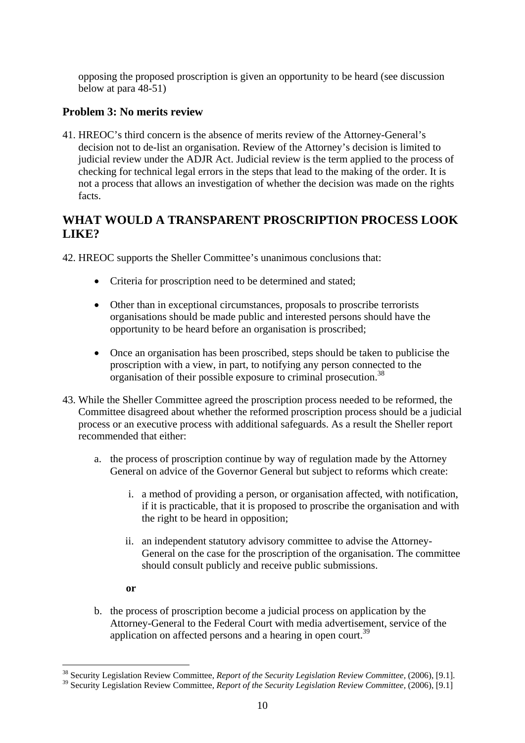opposing the proposed proscription is given an opportunity to be heard (see discussion below at para 48-51)

### **Problem 3: No merits review**

41. HREOC's third concern is the absence of merits review of the Attorney-General's decision not to de-list an organisation. Review of the Attorney's decision is limited to judicial review under the ADJR Act. Judicial review is the term applied to the process of checking for technical legal errors in the steps that lead to the making of the order. It is not a process that allows an investigation of whether the decision was made on the rights facts.

## **WHAT WOULD A TRANSPARENT PROSCRIPTION PROCESS LOOK LIKE?**

42. HREOC supports the Sheller Committee's unanimous conclusions that:

- Criteria for proscription need to be determined and stated;
- Other than in exceptional circumstances, proposals to proscribe terrorists organisations should be made public and interested persons should have the opportunity to be heard before an organisation is proscribed;
- Once an organisation has been proscribed, steps should be taken to publicise the proscription with a view, in part, to notifying any person connected to the organisation of their possible exposure to criminal prosecution.<sup>38</sup>
- 43. While the Sheller Committee agreed the proscription process needed to be reformed, the Committee disagreed about whether the reformed proscription process should be a judicial process or an executive process with additional safeguards. As a result the Sheller report recommended that either:
	- a. the process of proscription continue by way of regulation made by the Attorney General on advice of the Governor General but subject to reforms which create:
		- i. a method of providing a person, or organisation affected, with notification, if it is practicable, that it is proposed to proscribe the organisation and with the right to be heard in opposition;
		- ii. an independent statutory advisory committee to advise the Attorney-General on the case for the proscription of the organisation. The committee should consult publicly and receive public submissions.
		- **or**

1

b. the process of proscription become a judicial process on application by the Attorney-General to the Federal Court with media advertisement, service of the application on affected persons and a hearing in open court.<sup>39</sup>

<sup>38</sup> Security Legislation Review Committee, *Report of the Security Legislation Review Committee,* (2006), [9.1].

<sup>&</sup>lt;sup>39</sup> Security Legislation Review Committee, *Report of the Security Legislation Review Committee*, (2006), [9.1]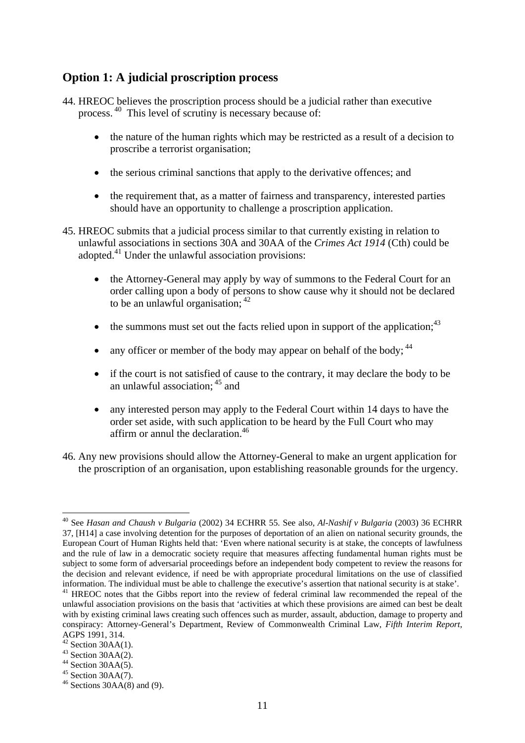# **Option 1: A judicial proscription process**

- 44. HREOC believes the proscription process should be a judicial rather than executive process. 40 This level of scrutiny is necessary because of:
	- the nature of the human rights which may be restricted as a result of a decision to proscribe a terrorist organisation;
	- the serious criminal sanctions that apply to the derivative offences; and
	- the requirement that, as a matter of fairness and transparency, interested parties should have an opportunity to challenge a proscription application.
- 45. HREOC submits that a judicial process similar to that currently existing in relation to unlawful associations in sections 30A and 30AA of the *Crimes Act 1914* (Cth) could be adopted.41 Under the unlawful association provisions:
	- the Attorney-General may apply by way of summons to the Federal Court for an order calling upon a body of persons to show cause why it should not be declared to be an unlawful organisation:  $42$
	- the summons must set out the facts relied upon in support of the application;  $43$
	- any officer or member of the body may appear on behalf of the body;  $44$
	- if the court is not satisfied of cause to the contrary, it may declare the body to be an unlawful association; 45 and
	- any interested person may apply to the Federal Court within 14 days to have the order set aside, with such application to be heard by the Full Court who may affirm or annul the declaration.<sup>46</sup>
- 46. Any new provisions should allow the Attorney-General to make an urgent application for the proscription of an organisation, upon establishing reasonable grounds for the urgency.

<sup>1</sup> 40 See *Hasan and Chaush v Bulgaria* (2002) 34 ECHRR 55. See also, *Al-Nashif v Bulgaria* (2003) 36 ECHRR 37, [H14] a case involving detention for the purposes of deportation of an alien on national security grounds, the European Court of Human Rights held that: 'Even where national security is at stake, the concepts of lawfulness and the rule of law in a democratic society require that measures affecting fundamental human rights must be subject to some form of adversarial proceedings before an independent body competent to review the reasons for the decision and relevant evidence, if need be with appropriate procedural limitations on the use of classified information. The individual must be able to challenge the executive's assertion that national security is at stake'. 41 HREOC notes that the Gibbs report into the review of federal criminal law recommended the repeal of the

unlawful association provisions on the basis that 'activities at which these provisions are aimed can best be dealt with by existing criminal laws creating such offences such as murder, assault, abduction, damage to property and conspiracy: Attorney-General's Department, Review of Commonwealth Criminal Law, *Fifth Interim Report*, AGPS 1991, 314.

 $2$  Section 30AA(1).

 $43$  Section 30AA(2).

 $44$  Section 30AA(5).

 $45$  Section 30AA $(7)$ .

 $46$  Sections 30AA(8) and (9).